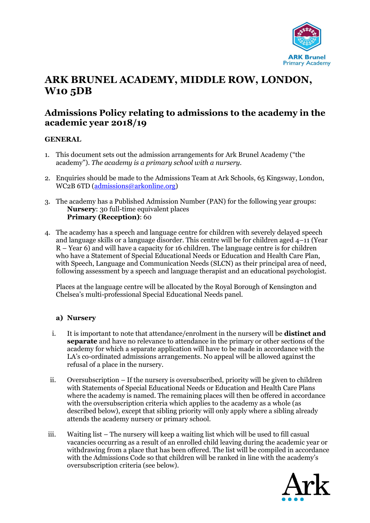

# **ARK BRUNEL ACADEMY, MIDDLE ROW, LONDON, W10 5DB**

# **Admissions Policy relating to admissions to the academy in the academic year 2018/19**

# **GENERAL**

- 1. This document sets out the admission arrangements for Ark Brunel Academy ("the academy"). *The academy is a primary school with a nursery.*
- 2. Enquiries should be made to the Admissions Team at Ark Schools, 65 Kingsway, London, WC2B 6TD [\(admissions@arkonline.org\)](mailto:admissions@arkonline.org)
- 3. The academy has a Published Admission Number (PAN) for the following year groups: **Nursery**: 30 full-time equivalent places **Primary (Reception)**: 60
- 4. The academy has a speech and language centre for children with severely delayed speech and language skills or a language disorder. This centre will be for children aged 4–11 (Year R – Year 6) and will have a capacity for 16 children. The language centre is for children who have a Statement of Special Educational Needs or Education and Health Care Plan, with Speech, Language and Communication Needs (SLCN) as their principal area of need, following assessment by a speech and language therapist and an educational psychologist.

Places at the language centre will be allocated by the Royal Borough of Kensington and Chelsea's multi-professional Special Educational Needs panel.

# **a) Nursery**

- i. It is important to note that attendance/enrolment in the nursery will be **distinct and separate** and have no relevance to attendance in the primary or other sections of the academy for which a separate application will have to be made in accordance with the LA's co-ordinated admissions arrangements. No appeal will be allowed against the refusal of a place in the nursery.
- ii. Oversubscription If the nursery is oversubscribed, priority will be given to children with Statements of Special Educational Needs or Education and Health Care Plans where the academy is named. The remaining places will then be offered in accordance with the oversubscription criteria which applies to the academy as a whole (as described below), except that sibling priority will only apply where a sibling already attends the academy nursery or primary school.
- iii. Waiting list The nursery will keep a waiting list which will be used to fill casual vacancies occurring as a result of an enrolled child leaving during the academic year or withdrawing from a place that has been offered. The list will be compiled in accordance with the Admissions Code so that children will be ranked in line with the academy's oversubscription criteria (see below).

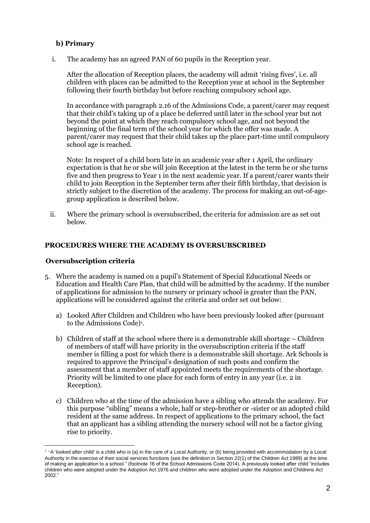# **b) Primary**

i. The academy has an agreed PAN of 60 pupils in the Reception year.

After the allocation of Reception places, the academy will admit 'rising fives', i.e. all children with places can be admitted to the Reception year at school in the September following their fourth birthday but before reaching compulsory school age.

In accordance with paragraph 2.16 of the Admissions Code, a parent/carer may request that their child's taking up of a place be deferred until later in the school year but not beyond the point at which they reach compulsory school age, and not beyond the beginning of the final term of the school year for which the offer was made. A parent/carer may request that their child takes up the place part-time until compulsory school age is reached.

Note: In respect of a child born late in an academic year after 1 April, the ordinary expectation is that he or she will join Reception at the latest in the term he or she turns five and then progress to Year 1 in the next academic year. If a parent/carer wants their child to join Reception in the September term after their fifth birthday, that decision is strictly subject to the discretion of the academy. The process for making an out-of-agegroup application is described below.

ii. Where the primary school is oversubscribed, the criteria for admission are as set out below.

# **PROCEDURES WHERE THE ACADEMY IS OVERSUBSCRIBED**

#### **Oversubscription criteria**

 $\overline{a}$ 

- 5. Where the academy is named on a pupil's Statement of Special Educational Needs or Education and Health Care Plan, that child will be admitted by the academy. If the number of applications for admission to the nursery or primary school is greater than the PAN, applications will be considered against the criteria and order set out below:
	- a) Looked After Children and Children who have been previously looked after (pursuant to the Admissions Code)<sup>1</sup>.
	- b) Children of staff at the school where there is a demonstrable skill shortage Children of members of staff will have priority in the oversubscription criteria if the staff member is filling a post for which there is a demonstrable skill shortage. Ark Schools is required to approve the Principal's designation of such posts and confirm the assessment that a member of staff appointed meets the requirements of the shortage. Priority will be limited to one place for each form of entry in any year (i.e. 2 in Reception).
	- c) Children who at the time of the admission have a sibling who attends the academy. For this purpose "sibling" means a whole, half or step-brother or -sister or an adopted child resident at the same address. In respect of applications to the primary school, the fact that an applicant has a sibling attending the nursery school will not be a factor giving rise to priority.

 $1$  "A 'looked after child' is a child who is (a) in the care of a Local Authority, or (b) being provided with accommodation by a Local Authority in the exercise of their social services functions (see the definition in Section 22(1) of the Children Act 1989) at the time of making an application to a school." (footnote 16 of the School Admissions Code 2014). A previously looked after child "includes children who were adopted under the Adoption Act 1976 and children who were adopted under the Adoption and Childrens Act 2002."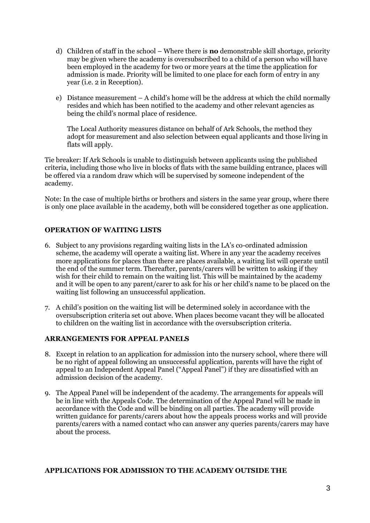- d) Children of staff in the school Where there is **no** demonstrable skill shortage, priority may be given where the academy is oversubscribed to a child of a person who will have been employed in the academy for two or more years at the time the application for admission is made. Priority will be limited to one place for each form of entry in any year (i.e. 2 in Reception).
- e) Distance measurement A child's home will be the address at which the child normally resides and which has been notified to the academy and other relevant agencies as being the child's normal place of residence.

The Local Authority measures distance on behalf of Ark Schools, the method they adopt for measurement and also selection between equal applicants and those living in flats will apply.

Tie breaker: If Ark Schools is unable to distinguish between applicants using the published criteria, including those who live in blocks of flats with the same building entrance, places will be offered via a random draw which will be supervised by someone independent of the academy.

Note: In the case of multiple births or brothers and sisters in the same year group, where there is only one place available in the academy, both will be considered together as one application.

# **OPERATION OF WAITING LISTS**

- 6. Subject to any provisions regarding waiting lists in the LA's co-ordinated admission scheme, the academy will operate a waiting list. Where in any year the academy receives more applications for places than there are places available, a waiting list will operate until the end of the summer term. Thereafter, parents/carers will be written to asking if they wish for their child to remain on the waiting list. This will be maintained by the academy and it will be open to any parent/carer to ask for his or her child's name to be placed on the waiting list following an unsuccessful application.
- 7. A child's position on the waiting list will be determined solely in accordance with the oversubscription criteria set out above. When places become vacant they will be allocated to children on the waiting list in accordance with the oversubscription criteria.

# **ARRANGEMENTS FOR APPEAL PANELS**

- 8. Except in relation to an application for admission into the nursery school, where there will be no right of appeal following an unsuccessful application, parents will have the right of appeal to an Independent Appeal Panel ("Appeal Panel") if they are dissatisfied with an admission decision of the academy.
- 9. The Appeal Panel will be independent of the academy. The arrangements for appeals will be in line with the Appeals Code. The determination of the Appeal Panel will be made in accordance with the Code and will be binding on all parties. The academy will provide written guidance for parents/carers about how the appeals process works and will provide parents/carers with a named contact who can answer any queries parents/carers may have about the process.

#### **APPLICATIONS FOR ADMISSION TO THE ACADEMY OUTSIDE THE**